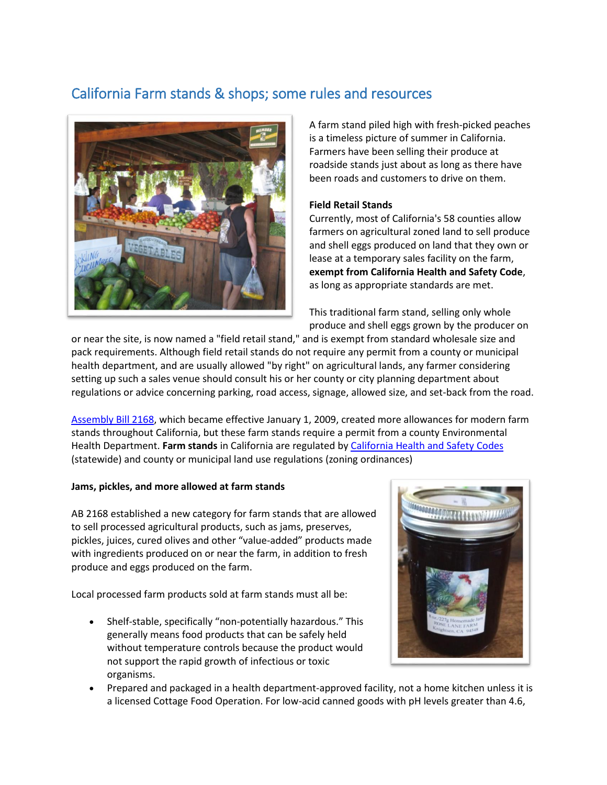# California Farm stands & shops; some rules and resources



A farm stand piled high with fresh-picked peaches is a timeless picture of summer in California. Farmers have been selling their produce at roadside stands just about as long as there have been roads and customers to drive on them.

## **Field Retail Stands**

Currently, most of California's 58 counties allow farmers on agricultural zoned land to sell produce and shell eggs produced on land that they own or lease at a temporary sales facility on the farm, **exempt from California Health and Safety Code**, as long as appropriate standards are met.

This traditional farm stand, selling only whole produce and shell eggs grown by the producer on

or near the site, is now named a "field retail stand," and is exempt from standard wholesale size and pack requirements. Although field retail stands do not require any permit from a county or municipal health department, and are usually allowed "by right" on agricultural lands, any farmer considering setting up such a sales venue should consult his or her county or city planning department about regulations or advice concerning parking, road access, signage, allowed size, and set-back from the road.

[Assembly Bill 2168,](http://leginfo.legislature.ca.gov/faces/billNavClient.xhtml?bill_id=200720080AB2168) which became effective January 1, 2009, created more allowances for modern farm stands throughout California, but these farm stands require a permit from a county Environmental Health Department. **Farm stands** in California are regulated by [California Health and Safety Codes](https://www.cdph.ca.gov/Programs/CEH/DFDCS/CDPH%20Document%20Library/FDB/FoodSafetyProgram/MEHKO/CALIFORNIA%20RETAIL%20FOOD%20CODE%202019.pdf) (statewide) and county or municipal land use regulations (zoning ordinances)

## **Jams, pickles, and more allowed at farm stands**

AB 2168 established a new category for farm stands that are allowed to sell processed agricultural products, such as jams, preserves, pickles, juices, cured olives and other "value-added" products made with ingredients produced on or near the farm, in addition to fresh produce and eggs produced on the farm.

Local processed farm products sold at farm stands must all be:

 Shelf-stable, specifically "non-potentially hazardous." This generally means food products that can be safely held without temperature controls because the product would not support the rapid growth of infectious or toxic organisms.



 Prepared and packaged in a health department-approved facility, not a home kitchen unless it is a licensed Cottage Food Operation. For low-acid canned goods with pH levels greater than 4.6,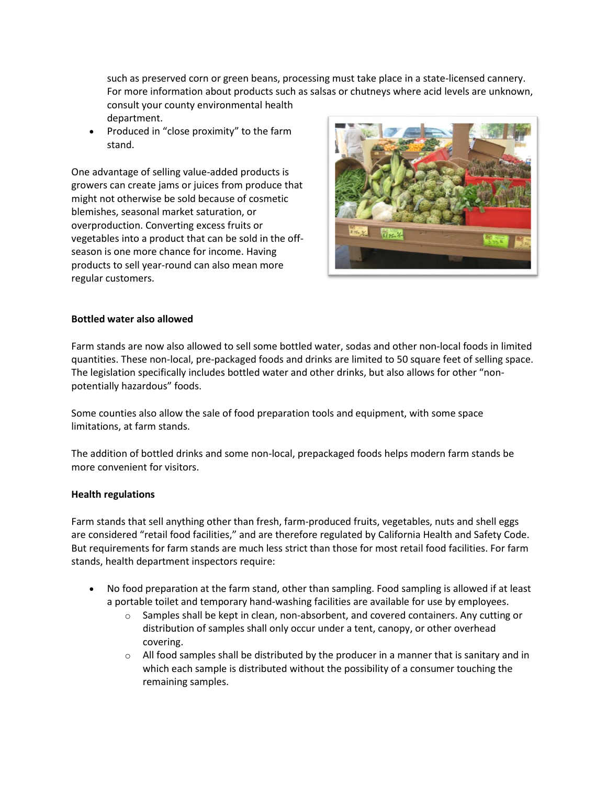such as preserved corn or green beans, processing must take place in a state-licensed cannery. For more information about products such as salsas or chutneys where acid levels are unknown, consult your county environmental health department.

 Produced in "close proximity" to the farm stand.

One advantage of selling value-added products is growers can create jams or juices from produce that might not otherwise be sold because of cosmetic blemishes, seasonal market saturation, or overproduction. Converting excess fruits or vegetables into a product that can be sold in the offseason is one more chance for income. Having products to sell year-round can also mean more regular customers.



### **Bottled water also allowed**

Farm stands are now also allowed to sell some bottled water, sodas and other non-local foods in limited quantities. These non-local, pre-packaged foods and drinks are limited to 50 square feet of selling space. The legislation specifically includes bottled water and other drinks, but also allows for other "nonpotentially hazardous" foods.

Some counties also allow the sale of food preparation tools and equipment, with some space limitations, at farm stands.

The addition of bottled drinks and some non-local, prepackaged foods helps modern farm stands be more convenient for visitors.

#### **Health regulations**

Farm stands that sell anything other than fresh, farm-produced fruits, vegetables, nuts and shell eggs are considered "retail food facilities," and are therefore regulated by California Health and Safety Code. But requirements for farm stands are much less strict than those for most retail food facilities. For farm stands, health department inspectors require:

- No food preparation at the farm stand, other than sampling. Food sampling is allowed if at least a portable toilet and temporary hand-washing facilities are available for use by employees.
	- $\circ$  Samples shall be kept in clean, non-absorbent, and covered containers. Any cutting or distribution of samples shall only occur under a tent, canopy, or other overhead covering.
	- $\circ$  All food samples shall be distributed by the producer in a manner that is sanitary and in which each sample is distributed without the possibility of a consumer touching the remaining samples.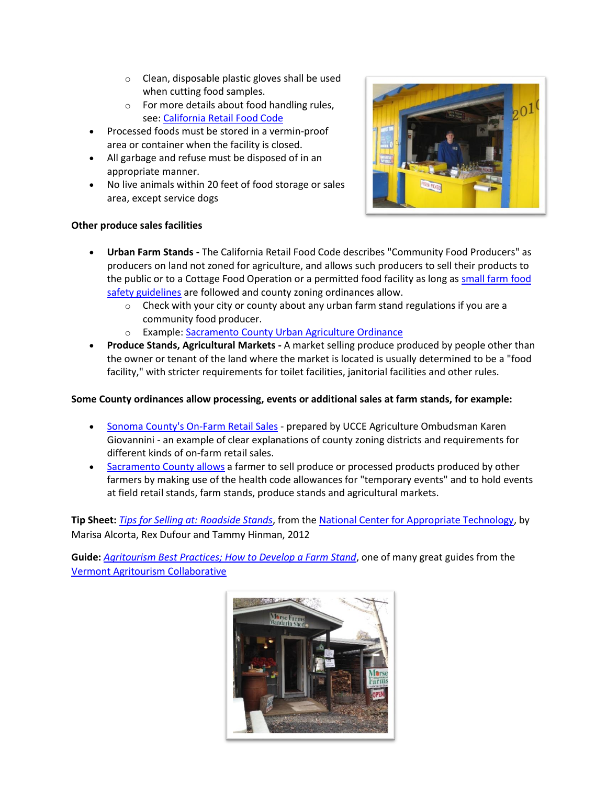- o Clean, disposable plastic gloves shall be used when cutting food samples.
- o For more details about food handling rules, see[: California Retail Food Code](https://www.cdph.ca.gov/Programs/CEH/DFDCS/CDPH%20Document%20Library/FDB/FoodSafetyProgram/MEHKO/CALIFORNIA%20RETAIL%20FOOD%20CODE%202019.pdf)
- Processed foods must be stored in a vermin-proof area or container when the facility is closed.
- All garbage and refuse must be disposed of in an appropriate manner.
- No live animals within 20 feet of food storage or sales area, except service dogs



### **Other produce sales facilities**

- **Urban Farm Stands -** The California Retail Food Code describes "Community Food Producers" as producers on land not zoned for agriculture, and allows such producers to sell their products to the public or to a Cottage Food Operation or a permitted food facility as long a[s small farm food](https://www.cdfa.ca.gov/is/i_&_c/sffsg.html)  [safety guidelines](https://www.cdfa.ca.gov/is/i_&_c/sffsg.html) are followed and county zoning ordinances allow.
	- $\circ$  Check with your city or county about any urban farm stand regulations if you are a community food producer.
	- o Example: [Sacramento County Urban Agriculture Ordinance](http://www.per.saccounty.net/LandUseRegulationDocuments/Pages/Urban-Agriculture-Ordinance.aspx)
- **Produce Stands, Agricultural Markets -** A market selling produce produced by people other than the owner or tenant of the land where the market is located is usually determined to be a "food facility," with stricter requirements for toilet facilities, janitorial facilities and other rules.

## **Some County ordinances allow processing, events or additional sales at farm stands, for example:**

- [Sonoma County's On-Farm Retail Sales](https://ucanr.edu/sites/CESonomaAgOmbuds/Produce_Farming/On-Farm_Retail_Sales/) prepared by UCCE Agriculture Ombudsman Karen Giovannini - an example of clear explanations of county zoning districts and requirements for different kinds of on-farm retail sales.
- [Sacramento County allows](https://ucanr.edu/sites/agritourism/files/306812.pdf) a farmer to sell produce or processed products produced by other farmers by making use of the health code allowances for "temporary events" and to hold events at field retail stands, farm stands, produce stands and agricultural markets.

**Tip Sheet:** *[Tips for Selling at: Roadside Stands](https://ucanr.edu/sites/agritourism/files/315886.pdf)*, from the [National Center for Appropriate Technology,](https://www.ncat.org/) by Marisa Alcorta, Rex Dufour and Tammy Hinman, 2012

**Guide:** *[Agritourism Best Practices; How to Develop a Farm Stand](https://www.uvm.edu/sites/default/files/Vermont-Agritourism-Collaborative/2019HowTo-DevelopFarmStand.pdf)*, one of many great guides from the [Vermont Agritourism Collaborative](https://www.uvm.edu/vtagritourism/?Page=guides.html)